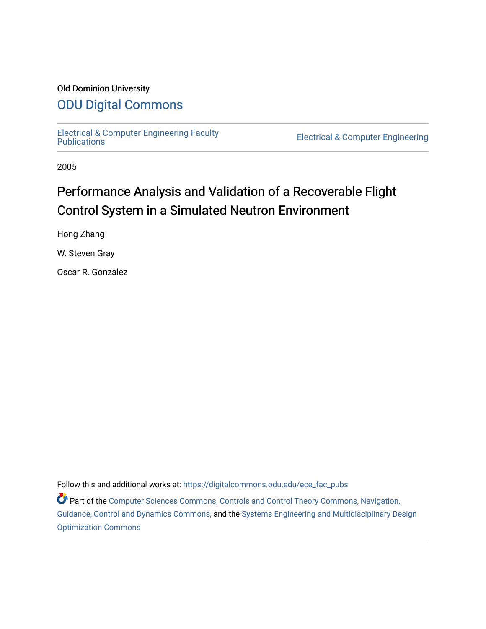## Old Dominion University

# [ODU Digital Commons](https://digitalcommons.odu.edu/)

[Electrical & Computer Engineering Faculty](https://digitalcommons.odu.edu/ece_fac_pubs) 

**Electrical & Computer Engineering** 

2005

# Performance Analysis and Validation of a Recoverable Flight Control System in a Simulated Neutron Environment

Hong Zhang

W. Steven Gray

Oscar R. Gonzalez

Follow this and additional works at: [https://digitalcommons.odu.edu/ece\\_fac\\_pubs](https://digitalcommons.odu.edu/ece_fac_pubs?utm_source=digitalcommons.odu.edu%2Fece_fac_pubs%2F232&utm_medium=PDF&utm_campaign=PDFCoverPages) 

Part of the [Computer Sciences Commons](http://network.bepress.com/hgg/discipline/142?utm_source=digitalcommons.odu.edu%2Fece_fac_pubs%2F232&utm_medium=PDF&utm_campaign=PDFCoverPages), [Controls and Control Theory Commons](http://network.bepress.com/hgg/discipline/269?utm_source=digitalcommons.odu.edu%2Fece_fac_pubs%2F232&utm_medium=PDF&utm_campaign=PDFCoverPages), [Navigation,](http://network.bepress.com/hgg/discipline/226?utm_source=digitalcommons.odu.edu%2Fece_fac_pubs%2F232&utm_medium=PDF&utm_campaign=PDFCoverPages) [Guidance, Control and Dynamics Commons,](http://network.bepress.com/hgg/discipline/226?utm_source=digitalcommons.odu.edu%2Fece_fac_pubs%2F232&utm_medium=PDF&utm_campaign=PDFCoverPages) and the [Systems Engineering and Multidisciplinary Design](http://network.bepress.com/hgg/discipline/221?utm_source=digitalcommons.odu.edu%2Fece_fac_pubs%2F232&utm_medium=PDF&utm_campaign=PDFCoverPages) [Optimization Commons](http://network.bepress.com/hgg/discipline/221?utm_source=digitalcommons.odu.edu%2Fece_fac_pubs%2F232&utm_medium=PDF&utm_campaign=PDFCoverPages)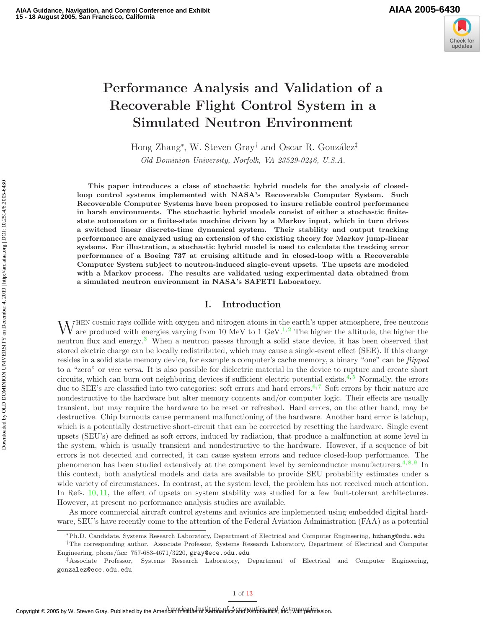

# Performance Analysis and Validation of a Recoverable Flight Control System in a Simulated Neutron Environment

Hong Zhang<sup>∗</sup>, W. Steven Gray<sup>†</sup> and Oscar R. González<sup>‡</sup>

Old Dominion University, Norfolk, VA 23529-0246, U.S.A.

This paper introduces a class of stochastic hybrid models for the analysis of closedloop control systems implemented with NASA's Recoverable Computer System. Such Recoverable Computer Systems have been proposed to insure reliable control performance in harsh environments. The stochastic hybrid models consist of either a stochastic finitestate automaton or a finite-state machine driven by a Markov input, which in turn drives a switched linear discrete-time dynamical system. Their stability and output tracking performance are analyzed using an extension of the existing theory for Markov jump-linear systems. For illustration, a stochastic hybrid model is used to calculate the tracking error performance of a Boeing 737 at cruising altitude and in closed-loop with a Recoverable Computer System subject to neutron-induced single-event upsets. The upsets are modeled with a Markov process. The results are validated using experimental data obtained from a simulated neutron environment in NASA's SAFETI Laboratory.

#### I. Introduction

W<sup>HEN</sup> cosmic rays collide with oxygen and nitrogen atoms in the earth's upper atmosphere, free neutrons are produced with energies varying from 10 MeV to 1 GeV.<sup>1,2</sup> The higher the altitude, the higher the are produced with energies varying from 10 MeV to 1 GeV.<sup>1,2</sup> The higher the altitude, the higher the neutron flux and energy.<sup>3</sup> When a neutron passes through a solid state device, it has been observed that stored electric charge can be locally redistributed, which may cause a single-event effect (SEE). If this charge resides in a solid state memory device, for example a computer's cache memory, a binary "one" can be flipped to a "zero" or vice versa. It is also possible for dielectric material in the device to rupture and create short circuits, which can burn out neighboring devices if sufficient electric potential exists. $4,5$  Normally, the errors due to SEE's are classified into two categories: soft errors and hard errors.<sup>6,7</sup> Soft errors by their nature are nondestructive to the hardware but alter memory contents and/or computer logic. Their effects are usually transient, but may require the hardware to be reset or refreshed. Hard errors, on the other hand, may be destructive. Chip burnouts cause permanent malfunctioning of the hardware. Another hard error is latchup, which is a potentially destructive short-circuit that can be corrected by resetting the hardware. Single event upsets (SEU's) are defined as soft errors, induced by radiation, that produce a malfunction at some level in the system, which is usually transient and nondestructive to the hardware. However, if a sequence of bit errors is not detected and corrected, it can cause system errors and reduce closed-loop performance. The phenomenon has been studied extensively at the component level by semiconductor manufacturers.<sup>4,8,9</sup> In this context, both analytical models and data are available to provide SEU probability estimates under a wide variety of circumstances. In contrast, at the system level, the problem has not received much attention. In Refs. 10, 11, the effect of upsets on system stability was studied for a few fault-tolerant architectures. However, at present no performance analysis studies are available.

As more commercial aircraft control systems and avionics are implemented using embedded digital hardware, SEU's have recently come to the attention of the Federal Aviation Administration (FAA) as a potential

<sup>∗</sup>Ph.D. Candidate, Systems Research Laboratory, Department of Electrical and Computer Engineering, hzhang@odu.edu

<sup>†</sup>The corresponding author. Associate Professor, Systems Research Laboratory, Department of Electrical and Computer Engineering, phone/fax: 757-683-4671/3220, gray@ece.odu.edu

<sup>‡</sup>Associate Professor, Systems Research Laboratory, Department of Electrical and Computer Engineering, gonzalez@ece.odu.edu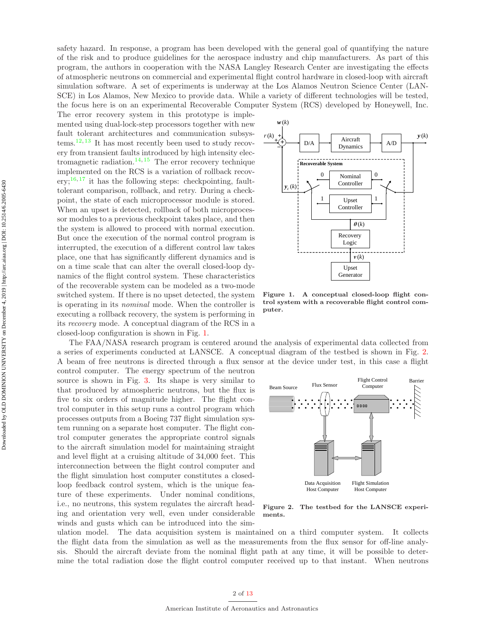safety hazard. In response, a program has been developed with the general goal of quantifying the nature of the risk and to produce guidelines for the aerospace industry and chip manufacturers. As part of this program, the authors in cooperation with the NASA Langley Research Center are investigating the effects of atmospheric neutrons on commercial and experimental flight control hardware in closed-loop with aircraft simulation software. A set of experiments is underway at the Los Alamos Neutron Science Center (LAN-SCE) in Los Alamos, New Mexico to provide data. While a variety of different technologies will be tested, the focus here is on an experimental Recoverable Computer System (RCS) developed by Honeywell, Inc.

The error recovery system in this prototype is implemented using dual-lock-step processors together with new fault tolerant architectures and communication subsystems.<sup>12, 13</sup> It has most recently been used to study recovery from transient faults introduced by high intensity electromagnetic radiation.<sup>14, 15</sup> The error recovery technique implemented on the RCS is a variation of rollback recovery;<sup>16, 17</sup> it has the following steps: checkpointing, faulttolerant comparison, rollback, and retry. During a checkpoint, the state of each microprocessor module is stored. When an upset is detected, rollback of both microprocessor modules to a previous checkpoint takes place, and then the system is allowed to proceed with normal execution. But once the execution of the normal control program is interrupted, the execution of a different control law takes place, one that has significantly different dynamics and is on a time scale that can alter the overall closed-loop dynamics of the flight control system. These characteristics of the recoverable system can be modeled as a two-mode switched system. If there is no upset detected, the system is operating in its nominal mode. When the controller is executing a rollback recovery, the system is performing in its recovery mode. A conceptual diagram of the RCS in a closed-loop configuration is shown in Fig. 1.

control computer. The energy spectrum of the neutron source is shown in Fig. 3. Its shape is very similar to that produced by atmospheric neutrons, but the flux is five to six orders of magnitude higher. The flight control computer in this setup runs a control program which processes outputs from a Boeing 737 flight simulation system running on a separate host computer. The flight control computer generates the appropriate control signals to the aircraft simulation model for maintaining straight and level flight at a cruising altitude of 34,000 feet. This interconnection between the flight control computer and the flight simulation host computer constitutes a closedloop feedback control system, which is the unique feature of these experiments. Under nominal conditions, i.e., no neutrons, this system regulates the aircraft heading and orientation very well, even under considerable winds and gusts which can be introduced into the sim-



Figure 1. A conceptual closed-loop flight control system with a recoverable flight control computer.

a series of experiments conducted at LANSCE. A conceptual diagram of the testbed is shown in Fig. 2. A beam of free neutrons is directed through a flux sensor at the device under test, in this case a flight

The FAA/NASA research program is centered around the analysis of experimental data collected from



Figure 2. The testbed for the LANSCE experiments.

ulation model. The data acquisition system is maintained on a third computer system. It collects the flight data from the simulation as well as the measurements from the flux sensor for off-line analysis. Should the aircraft deviate from the nominal flight path at any time, it will be possible to determine the total radiation dose the flight control computer received up to that instant. When neutrons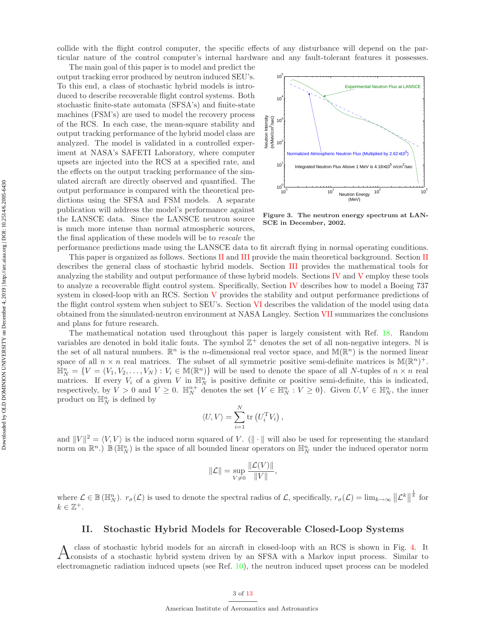collide with the flight control computer, the specific effects of any disturbance will depend on the particular nature of the control computer's internal hardware and any fault-tolerant features it possesses.

The main goal of this paper is to model and predict the output tracking error produced by neutron induced SEU's. To this end, a class of stochastic hybrid models is introduced to describe recoverable flight control systems. Both stochastic finite-state automata (SFSA's) and finite-state machines (FSM's) are used to model the recovery process of the RCS. In each case, the mean-square stability and output tracking performance of the hybrid model class are analyzed. The model is validated in a controlled experiment at NASA's SAFETI Laboratory, where computer upsets are injected into the RCS at a specified rate, and the effects on the output tracking performance of the simulated aircraft are directly observed and quantified. The output performance is compared with the theoretical predictions using the SFSA and FSM models. A separate publication will address the model's performance against the LANSCE data. Since the LANSCE neutron source is much more intense than normal atmospheric sources, the final application of these models will be to rescale the



Figure 3. The neutron energy spectrum at LAN-SCE in December, 2002.

performance predictions made using the LANSCE data to fit aircraft flying in normal operating conditions. This paper is organized as follows. Sections II and III provide the main theoretical background. Section II describes the general class of stochastic hybrid models. Section III provides the mathematical tools for analyzing the stability and output performance of these hybrid models. Sections IV and V employ these tools to analyze a recoverable flight control system. Specifically, Section IV describes how to model a Boeing 737 system in closed-loop with an RCS. Section V provides the stability and output performance predictions of the flight control system when subject to SEU's. Section VI describes the validation of the model using data obtained from the simulated-neutron environment at NASA Langley. Section VII summarizes the conclusions and plans for future research.

The mathematical notation used throughout this paper is largely consistent with Ref. 18. Random variables are denoted in bold italic fonts. The symbol  $\mathbb{Z}^+$  denotes the set of all non-negative integers. N is the set of all natural numbers.  $\mathbb{R}^n$  is the *n*-dimensional real vector space, and  $\mathbb{M}(\mathbb{R}^n)$  is the normed linear space of all  $n \times n$  real matrices. The subset of all symmetric positive semi-definite matrices is  $\mathbb{M}(\mathbb{R}^n)^+$ .  $\mathbb{H}_N^n = \{V = (V_1, V_2, \ldots, V_N) : V_i \in \mathbb{M}(\mathbb{R}^n)\}\$  will be used to denote the space of all N-tuples of  $n \times n$  real matrices. If every  $V_i$  of a given V in  $\mathbb{H}_N^n$  is positive definite or positive semi-definite, this is indicated, respectively, by  $V > 0$  and  $V \geq 0$ .  $\mathbb{H}_{N}^{n+}$  denotes the set  $\{V \in \mathbb{H}_{N}^{n} : V \geq 0\}$ . Given  $U, V \in \mathbb{H}_{N}^{n}$ , the inner product on  $\mathbb{H}_N^n$  is defined by

$$
\langle U, V \rangle = \sum_{i=1}^{N} \text{tr}\left(U_i^{\text{T}} V_i\right),
$$

and  $||V||^2 = \langle V, V \rangle$  is the induced norm squared of V. ( $|| \cdot ||$  will also be used for representing the standard norm on  $\mathbb{R}^n$ .)  $\mathbb{B}(\mathbb{H}_N^n)$  is the space of all bounded linear operators on  $\mathbb{H}_N^n$  under the induced operator norm

$$
\|\mathcal{L}\| = \sup_{V \neq 0} \frac{\|\mathcal{L}(V)\|}{\|V\|},
$$

where  $\mathcal{L} \in \mathbb{B}(\mathbb{H}_{N}^{n})$ .  $r_{\sigma}(\mathcal{L})$  is used to denote the spectral radius of  $\mathcal{L}$ , specifically,  $r_{\sigma}(\mathcal{L}) = \lim_{k \to \infty} ||\mathcal{L}^{k}||$  $\frac{1}{k}$  for  $k \in \mathbb{Z}^+$ .

#### II. Stochastic Hybrid Models for Recoverable Closed-Loop Systems

A class of stochastic hybrid models for an aircraft in closed-loop with an RCS is shown in Fig. 4. It consists of a stochastic hybrid system driven by an SFSA with a Markov input process. Similar to class of stochastic hybrid models for an aircraft in closed-loop with an RCS is shown in Fig. 4. It electromagnetic radiation induced upsets (see Ref. 10), the neutron induced upset process can be modeled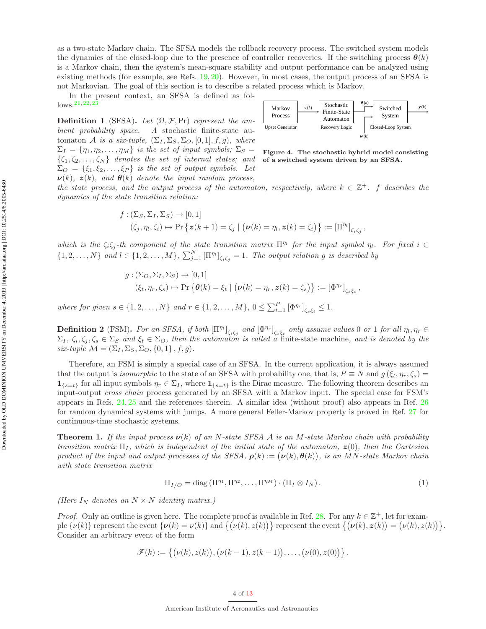In the present context, an SFSA is defined as fol $lows.$ <sup>21, 22, 23</sup>

**Definition 1** (SFSA). Let  $(\Omega, \mathcal{F}, Pr)$  represent the ambient probability space. A stochastic finite-state automaton A is a six-tuple,  $(\Sigma_I, \Sigma_S, \Sigma_O, [0, 1], f, g)$ , where  $\Sigma_I = \{\eta_1, \eta_2, \ldots, \eta_M\}$  is the set of input symbols;  $\Sigma_S =$  $\{\zeta_1, \zeta_2, \ldots, \zeta_N\}$  denotes the set of internal states; and  $\Sigma_O = \{\xi_1, \xi_2, \ldots, \xi_P\}$  is the set of output symbols. Let  $\nu(k)$ ,  $z(k)$ , and  $\theta(k)$  denote the input random process,



Figure 4. The stochastic hybrid model consisting of a switched system driven by an SFSA.

the state process, and the output process of the automaton, respectively, where  $k \in \mathbb{Z}^+$ . f describes the dynamics of the state transition relation:

$$
f: (\Sigma_S, \Sigma_I, \Sigma_S) \to [0, 1]
$$
  

$$
(\zeta_j, \eta_l, \zeta_i) \to \Pr \{ \mathbf{z}(k+1) = \zeta_j \mid (\mathbf{v}(k) = \eta_l, \mathbf{z}(k) = \zeta_i) \} := [\Pi^{\eta_l}]_{\zeta_i \zeta_j},
$$

which is the  $\zeta_i\zeta_j$ -th component of the state transition matrix  $\Pi^n$  for the input symbol  $\eta_i$ . For fixed  $i \in$  $\{1,2,\ldots,N\}$  and  $l \in \{1,2,\ldots,M\}$ ,  $\sum_{j=1}^{N} [\Pi^{n_l}]_{\zeta_i \zeta_j} = 1$ . The output relation g is described by

$$
g: (\Sigma_O, \Sigma_I, \Sigma_S) \to [0, 1]
$$
  

$$
(\xi_t, \eta_r, \zeta_s) \to \Pr \{ \theta(k) = \xi_t \mid (\nu(k) = \eta_r, z(k) = \zeta_s) \} := [\Phi^{\eta_r}]_{\zeta_s \xi_t},
$$

where for given  $s \in \{1, 2, ..., N\}$  and  $r \in \{1, 2, ..., M\}$ ,  $0 \le \sum_{t=1}^{P} [\Phi^{\eta_r}]_{\zeta_s \xi_t} \le 1$ .

**Definition 2** (FSM). For an SFSA, if both  $[\Pi^{m}]_{\zeta_i\zeta_j}$  and  $[\Phi^{n_r}]_{\zeta_s\xi_t}$  only assume values 0 or 1 for all  $\eta_l, \eta_r \in$  $\Sigma_I, \zeta_i, \zeta_j, \zeta_s \in \Sigma_S$  and  $\xi_t \in \Sigma_O$ , then the automaton is called a finite-state machine, and is denoted by the six-tuple  $\mathcal{M} = (\Sigma_I, \Sigma_S, \Sigma_O, \{0, 1\}, f, g).$ 

Therefore, an FSM is simply a special case of an SFSA. In the current application, it is always assumed that the output is *isomorphic* to the state of an SFSA with probability one, that is,  $P \equiv N$  and  $g(\xi_t, \eta_r, \zeta_s)$  $1_{\{s=t\}}$  for all input symbols  $\eta_r \in \Sigma_I$ , where  $1_{\{s=t\}}$  is the Dirac measure. The following theorem describes an input-output cross chain process generated by an SFSA with a Markov input. The special case for FSM's appears in Refs. 24, 25 and the references therein. A similar idea (without proof) also appears in Ref. 26 for random dynamical systems with jumps. A more general Feller-Markov property is proved in Ref. 27 for continuous-time stochastic systems.

**Theorem 1.** If the input process  $\nu(k)$  of an N-state SFSA A is an M-state Markov chain with probability transition matrix  $\Pi_I$ , which is independent of the initial state of the automaton,  $z(0)$ , then the Cartesian product of the input and output processes of the SFSA,  $\rho(k) := (\nu(k), \theta(k))$ , is an MN-state Markov chain with state transition matrix

$$
\Pi_{I/O} = \text{diag}\left(\Pi^{\eta_1}, \Pi^{\eta_2}, \dots, \Pi^{\eta_M}\right) \cdot \left(\Pi_I \otimes I_N\right). \tag{1}
$$

(Here  $I_N$  denotes an  $N \times N$  identity matrix.)

*Proof.* Only an outline is given here. The complete proof is available in Ref. 28. For any  $k \in \mathbb{Z}^+$ , let for example  $\{\nu(k)\}$  represent the event  $\{\nu(k) = \nu(k)\}\$  and  $\{\nu(k), z(k)\}\$  represent the event  $\{\nu(k), z(k)\} = \nu(k), z(k)\}.$ Consider an arbitrary event of the form

$$
\mathscr{F}(k) := \{ (\nu(k), z(k)), (\nu(k-1), z(k-1)), \ldots, (\nu(0), z(0)) \}.
$$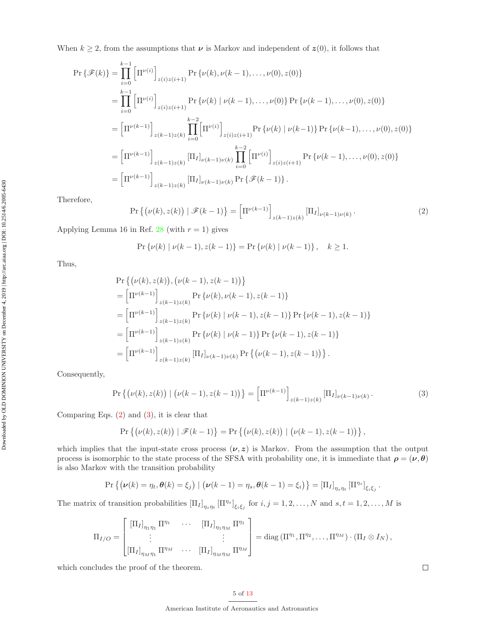When  $k \geq 2$ , from the assumptions that  $\nu$  is Markov and independent of  $z(0)$ , it follows that

$$
\Pr\{\mathcal{F}(k)\} = \prod_{i=0}^{k-1} \left[\Pi^{\nu(i)}\right]_{z(i)z(i+1)} \Pr\{\nu(k), \nu(k-1), \dots, \nu(0), z(0)\}
$$
  
\n
$$
= \prod_{i=0}^{k-1} \left[\Pi^{\nu(i)}\right]_{z(i)z(i+1)} \Pr\{\nu(k) \mid \nu(k-1), \dots, \nu(0)\} \Pr\{\nu(k-1), \dots, \nu(0), z(0)\}
$$
  
\n
$$
= \left[\Pi^{\nu(k-1)}\right]_{z(k-1)z(k)} \prod_{i=0}^{k-2} \left[\Pi^{\nu(i)}\right]_{z(i)z(i+1)} \Pr\{\nu(k) \mid \nu(k-1)\} \Pr\{\nu(k-1), \dots, \nu(0), z(0)\}
$$
  
\n
$$
= \left[\Pi^{\nu(k-1)}\right]_{z(k-1)z(k)} \left[\Pi_I\right]_{\nu(k-1)\nu(k)} \prod_{i=0}^{k-2} \left[\Pi^{\nu(i)}\right]_{z(i)z(i+1)} \Pr\{\nu(k-1), \dots, \nu(0), z(0)\}
$$
  
\n
$$
= \left[\Pi^{\nu(k-1)}\right]_{z(k-1)z(k)} \left[\Pi_I\right]_{\nu(k-1)\nu(k)} \Pr\{\mathcal{F}(k-1)\}.
$$

Therefore,

$$
\Pr\left\{(\nu(k), z(k)) \mid \mathcal{F}(k-1)\right\} = \left[\Pi^{\nu(k-1)}\right]_{z(k-1)z(k)} \left[\Pi_I\right]_{\nu(k-1)\nu(k)}.
$$
\n(2)

Applying Lemma 16 in Ref. 28 (with  $r = 1$ ) gives

$$
\Pr\{\nu(k) \mid \nu(k-1), z(k-1)\} = \Pr\{\nu(k) \mid \nu(k-1)\}, \quad k \ge 1.
$$

Thus,

$$
\Pr\left\{ (\nu(k), z(k)), (\nu(k-1), z(k-1)) \right\}
$$
\n
$$
= \left[ \Pi^{\nu(k-1)} \right]_{z(k-1)z(k)} \Pr\left\{ \nu(k), \nu(k-1), z(k-1) \right\}
$$
\n
$$
= \left[ \Pi^{\nu(k-1)} \right]_{z(k-1)z(k)} \Pr\left\{ \nu(k) \mid \nu(k-1), z(k-1) \right\} \Pr\left\{ \nu(k-1), z(k-1) \right\}
$$
\n
$$
= \left[ \Pi^{\nu(k-1)} \right]_{z(k-1)z(k)} \Pr\left\{ \nu(k) \mid \nu(k-1) \right\} \Pr\left\{ \nu(k-1), z(k-1) \right\}
$$
\n
$$
= \left[ \Pi^{\nu(k-1)} \right]_{z(k-1)z(k)} \left[ \Pi_I \right]_{\nu(k-1)\nu(k)} \Pr\left\{ \left( \nu(k-1), z(k-1) \right) \right\}.
$$

Consequently,

$$
\Pr\left\{(\nu(k), z(k)) \mid (\nu(k-1), z(k-1))\right\} = \left[\Pi^{\nu(k-1)}\right]_{z(k-1)z(k)} \left[\Pi_I\right]_{\nu(k-1)\nu(k)}.
$$
\n(3)

Comparing Eqs. (2) and (3), it is clear that

$$
\Pr\left\{ \big(\nu(k), z(k)\big) \mid \mathscr{F}(k-1) \right\} = \Pr\left\{ \big(\nu(k), z(k)\big) \mid \big(\nu(k-1), z(k-1)\big) \right\},\
$$

which implies that the input-state cross process  $(\nu, z)$  is Markov. From the assumption that the output process is isomorphic to the state process of the SFSA with probability one, it is immediate that  $\rho = (\nu, \theta)$ is also Markov with the transition probability

$$
\Pr\left\{ \left(\boldsymbol{\nu}(k)=\eta_t,\boldsymbol{\theta}(k)=\xi_j\right) \mid \left(\boldsymbol{\nu}(k-1)=\eta_s,\boldsymbol{\theta}(k-1)=\xi_i\right) \right\} = \left[\Pi_I\right]_{\eta_s\eta_t} \left[\Pi^{\eta_s}\right]_{\xi_i\xi_j}.
$$

The matrix of transition probabilities  $[\Pi_I]_{\eta_s\eta_t} [\Pi^{\eta_s}]_{\xi_i\xi_j}$  for  $i, j = 1, 2, ..., N$  and  $s, t = 1, 2, ..., M$  is

$$
\Pi_{I/O} = \begin{bmatrix} [\Pi_I]_{\eta_1 \eta_1} \Pi^{\eta_1} & \cdots & [\Pi_I]_{\eta_1 \eta_M} \Pi^{\eta_1} \\ \vdots & & \vdots \\ [\Pi_I]_{\eta_M \eta_1} \Pi^{\eta_M} & \cdots & [\Pi_I]_{\eta_M \eta_M} \Pi^{\eta_M} \end{bmatrix} = \text{diag} (\Pi^{\eta_1}, \Pi^{\eta_2}, \dots, \Pi^{\eta_M}) \cdot (\Pi_I \otimes I_N),
$$

which concludes the proof of the theorem.

 $\Box$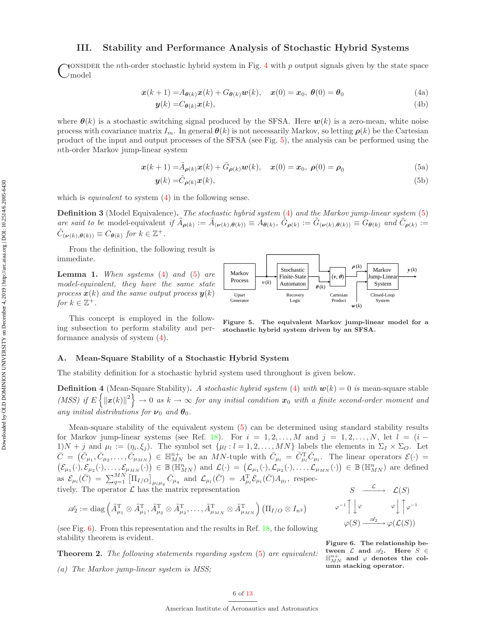### III. Stability and Performance Analysis of Stochastic Hybrid Systems

CONSIDER the *n*th-order stochastic hybrid system in Fig. 4 with  $p$  output signals given by the state space and  $C$  model model

$$
\boldsymbol{x}(k+1) = A_{\boldsymbol{\theta}(k)}\boldsymbol{x}(k) + G_{\boldsymbol{\theta}(k)}\boldsymbol{w}(k), \quad \boldsymbol{x}(0) = \boldsymbol{x}_0, \ \boldsymbol{\theta}(0) = \boldsymbol{\theta}_0 \tag{4a}
$$

$$
\mathbf{y}(k) = C_{\boldsymbol{\theta}(k)} \mathbf{x}(k),\tag{4b}
$$

where  $\theta(k)$  is a stochastic switching signal produced by the SFSA. Here  $w(k)$  is a zero-mean, white noise process with covariance matrix  $I_m$ . In general  $\theta(k)$  is not necessarily Markov, so letting  $\rho(k)$  be the Cartesian product of the input and output processes of the SFSA (see Fig. 5), the analysis can be performed using the nth-order Markov jump-linear system

$$
\mathbf{x}(k+1) = \tilde{A}_{\rho(k)} \mathbf{x}(k) + \tilde{G}_{\rho(k)} \mathbf{w}(k), \quad \mathbf{x}(0) = \mathbf{x}_0, \ \rho(0) = \rho_0 \tag{5a}
$$

$$
\mathbf{y}(k) = \tilde{C}_{\rho(k)} \mathbf{x}(k),\tag{5b}
$$

Stochastic Finite-State Automaton

ν (*k*)

Recovery Logic

which is *equivalent* to system  $(4)$  in the following sense.

**Definition 3** (Model Equivalence). The stochastic hybrid system (4) and the Markov jump-linear system (5) are said to be model-equivalent if  $\tilde{A}_{\rho(k)} := \tilde{A}_{(\nu(k),\theta(k))} \equiv A_{\theta(k)}, \tilde{G}_{\rho(k)} := \tilde{G}_{(\nu(k),\theta(k))} \equiv G_{\theta(k)}$  and  $\tilde{C}_{\rho(k)} :=$  $\tilde{C}_{(\boldsymbol{\nu}(k),\boldsymbol{\theta}(k))} \equiv C_{\boldsymbol{\theta}(k)}$  for  $k \in \mathbb{Z}^+$ .

> Markov Process

Upset Generator

From the definition, the following result is immediate.

**Lemma 1.** When systems  $(4)$  and  $(5)$  are model-equivalent, they have the same state process  $\mathbf{x}(k)$  and the same output process  $\mathbf{y}(k)$ for  $k \in \mathbb{Z}^+$ .

This concept is employed in the following subsection to perform stability and performance analysis of system (4).



 $\theta$ <sub>(k)</sub>

 $(v, \theta)$ 

 $\rho(k)$ 

*w*(*k*)

Cartesian Product

#### A. Mean-Square Stability of a Stochastic Hybrid System

The stability definition for a stochastic hybrid system used throughout is given below.

**Definition 4** (Mean-Square Stability). A stochastic hybrid system (4) with  $w(k) = 0$  is mean-square stable (MSS) if  $E\left\{\|\boldsymbol{x}(k)\|^2\right\} \to 0$  as  $k \to \infty$  for any initial condition  $\boldsymbol{x}_0$  with a finite second-order moment and any initial distributions for  $\nu_0$  and  $\theta_0$ .

Mean-square stability of the equivalent system (5) can be determined using standard stability results for Markov jump-linear systems (see Ref. 18). For  $i = 1, 2, \ldots, M$  and  $j = 1, 2, \ldots, N$ , let  $l = (i - 1, 2, \ldots, M)$  $1/N + j$  and  $\mu_l := (\eta_i, \xi_j)$ . The symbol set  $\{\mu_l : l = 1, 2, ..., MN\}$  labels the elements in  $\Sigma_I \times \Sigma_O$ . Let  $\bar{C} = (\bar{C}_{\mu_1}, \bar{C}_{\mu_2}, \ldots, \bar{C}_{\mu_{MN}}) \in \mathbb{H}_{MN}^{n+}$  be an MN-tuple with  $\bar{C}_{\mu_l} = \tilde{C}_{\mu_l}^{\mathrm{T}} \tilde{C}_{\mu_l}$ . The linear operators  $\mathcal{E}(\cdot) =$  $(\mathcal{E}_{\mu_1}(\cdot),\mathcal{E}_{\mu_2}(\cdot),\ldots,\mathcal{E}_{\mu_{MN}}(\cdot)) \in \mathbb{B}(\mathbb{H}_{MN}^n)$  and  $\mathcal{L}(\cdot) = (\mathcal{L}_{\mu_1}(\cdot),\mathcal{L}_{\mu_2}(\cdot),\ldots,\mathcal{L}_{\mu_{MN}}(\cdot)) \in \mathbb{B}(\mathbb{H}_{MN}^n)$  are defined as  $\mathcal{E}_{\mu_l}(\bar{C}) = \sum_{q=1}^{MN} \left[ \Pi_{I/O} \right]_{\mu_l\mu_q} \bar{C}_{\mu_q}$  and  $\mathcal{L}_{\mu_l}(\bar{C}) = A_{\mu_l}^{\mathrm{T}} \mathcal{E}_{\mu_l}(\bar{C}) A_{\mu_l}$ , respectively. The operator  $\mathcal L$  has the matrix representation

$$
\mathscr{A}_2 := \text{diag}\left(\tilde{A}_{\mu_1}^{\mathrm{T}} \otimes \tilde{A}_{\mu_1}^{\mathrm{T}}, \tilde{A}_{\mu_2}^{\mathrm{T}} \otimes \tilde{A}_{\mu_2}^{\mathrm{T}}, \ldots, \tilde{A}_{\mu_{MN}}^{\mathrm{T}} \otimes \tilde{A}_{\mu_{MN}}^{\mathrm{T}}\right) \left(\Pi_{I/O} \otimes I_{n^2}\right)
$$

(see Fig.  $6$ ). From this representation and the results in Ref. 18, the following stability theorem is evident.

Theorem 2. The following statements regarding system (5) are equivalent: (a) The Markov jump-linear system is MSS;

 $S \longrightarrow \mathcal{L}(S)$  $\varphi^{-1}$  $\downarrow \varphi$   $\downarrow \varphi$  $\int \varphi^{-1}$  $\varphi(S) \stackrel{\mathscr{A}_2}{\longrightarrow} \varphi(\mathcal{L}(S))$ 

Markov Jump-Linear System

*y* (*k*)

Closed-Loop System

Figure 6. The relationship between  $\mathcal L$  and  $\mathscr A_2$ . Here  $S \in$  $\mathbb{H}_{MN}^{n+}$  and  $\varphi$  denotes the column stacking operator.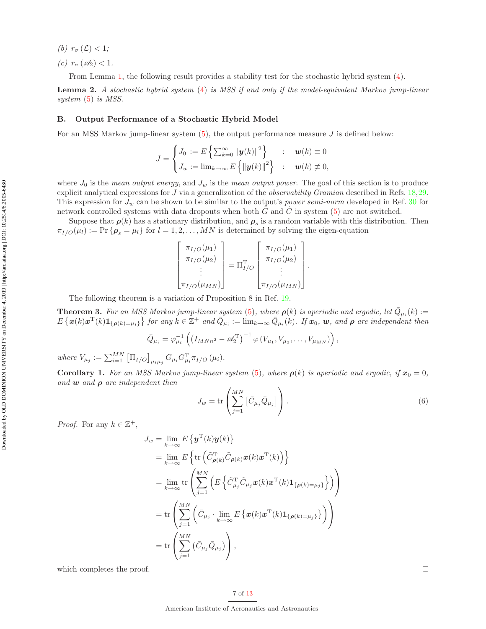- (b)  $r_{\sigma}(\mathcal{L}) < 1$ ;
- (c)  $r_{\sigma}(\mathscr{A}_2) < 1$ .

From Lemma 1, the following result provides a stability test for the stochastic hybrid system (4).

Lemma 2. A stochastic hybrid system (4) is MSS if and only if the model-equivalent Markov jump-linear system  $(5)$  is MSS.

#### B. Output Performance of a Stochastic Hybrid Model

For an MSS Markov jump-linear system  $(5)$ , the output performance measure J is defined below:

$$
J = \begin{cases} J_0 := E \left\{ \sum_{k=0}^{\infty} ||\mathbf{y}(k)||^2 \right\} & : & \mathbf{w}(k) \equiv 0 \\ J_w := \lim_{k \to \infty} E \left\{ ||\mathbf{y}(k)||^2 \right\} & : & \mathbf{w}(k) \not\equiv 0, \end{cases}
$$

where  $J_0$  is the mean output energy, and  $J_w$  is the mean output power. The goal of this section is to produce explicit analytical expressions for J via a generalization of the *observability Gramian* described in Refs. 18,29. This expression for  $J_w$  can be shown to be similar to the output's power semi-norm developed in Ref. 30 for network controlled systems with data dropouts when both  $\tilde{G}$  and  $\tilde{C}$  in system (5) are not switched.

Suppose that  $\rho(k)$  has a stationary distribution, and  $\rho_s$  is a random variable with this distribution. Then  $\pi_{I/O}(\mu_l) := \Pr\{\boldsymbol{\rho}_s = \mu_l\}$  for  $l = 1, 2, ..., MN$  is determined by solving the eigen-equation

| $\pi_{I/O}(\mu_1)$                    |                           | $\pi_{I/O}(\mu_1)$                    |
|---------------------------------------|---------------------------|---------------------------------------|
| $\pi_{I/O}(\mu_2)$                    | $=\Pi_{I/O}^{\mathrm{T}}$ | $\pi_{I/O}(\mu_2)$                    |
|                                       |                           |                                       |
| $\lfloor \pi_{I/O}(\mu_{MN}) \rfloor$ |                           | $\lfloor \pi_{I/O}(\mu_{MN}) \rfloor$ |

The following theorem is a variation of Proposition 8 in Ref. 19.

**Theorem 3.** For an MSS Markov jump-linear system (5), where  $\rho(k)$  is aperiodic and ergodic, let  $\bar{Q}_{\mu_i}(k)$  :=  $E\left\{\boldsymbol{x}(k)\boldsymbol{x}^{\mathrm{T}}(k)\boldsymbol{1}_{\{\boldsymbol{\rho}(k)=\mu_i\}}\right\}$  for any  $k \in \mathbb{Z}^+$  and  $\bar{Q}_{\mu_i} := \lim_{k \to \infty} \bar{Q}_{\mu_i}(k)$ . If  $\boldsymbol{x}_0$ ,  $\boldsymbol{w}$ , and  $\boldsymbol{\rho}$  are independent then

$$
\bar{Q}_{\mu_i} = \varphi_{\mu_i}^{-1} \left( \left( I_{M N n^2} - \mathscr{A}_2^{\mathrm{T}} \right)^{-1} \varphi \left( V_{\mu_1}, V_{\mu_2}, \dots, V_{\mu_{M N}} \right) \right),
$$

where  $V_{\mu_j} := \sum_{i=1}^{MN} \left[ \prod_{I/O} \right]_{\mu_i \mu_j} G_{\mu_i} G_{\mu_i}^{\mathrm{T}} \pi_{I/O} (\mu_i)$ .

**Corollary 1.** For an MSS Markov jump-linear system (5), where  $\rho(k)$  is aperiodic and ergodic, if  $x_0 = 0$ , and  $w$  and  $\rho$  are independent then

$$
J_w = \text{tr}\left(\sum_{j=1}^{MN} \left[\bar{C}_{\mu_j} \bar{Q}_{\mu_j}\right]\right). \tag{6}
$$

.

*Proof.* For any  $k \in \mathbb{Z}^+,$ 

$$
J_w = \lim_{k \to \infty} E\left\{ \mathbf{y}^{\mathrm{T}}(k) \mathbf{y}(k) \right\}
$$
  
\n
$$
= \lim_{k \to \infty} E\left\{ \mathrm{tr} \left( \tilde{C}_{\rho(k)}^{\mathrm{T}} \tilde{C}_{\rho(k)} \mathbf{x}(k) \mathbf{x}^{\mathrm{T}}(k) \right) \right\}
$$
  
\n
$$
= \lim_{k \to \infty} \mathrm{tr} \left\{ \sum_{j=1}^{MN} \left( E\left\{ \tilde{C}_{\mu_j}^{\mathrm{T}} \tilde{C}_{\mu_j} \mathbf{x}(k) \mathbf{x}^{\mathrm{T}}(k) \mathbf{1}_{\{\rho(k) = \mu_j\}} \right\} \right) \right\}
$$
  
\n
$$
= \mathrm{tr} \left( \sum_{j=1}^{MN} \left( \bar{C}_{\mu_j} \cdot \lim_{k \to \infty} E\left\{ \mathbf{x}(k) \mathbf{x}^{\mathrm{T}}(k) \mathbf{1}_{\{\rho(k) = \mu_j\}} \right\} \right) \right)
$$
  
\n
$$
= \mathrm{tr} \left( \sum_{j=1}^{MN} \left( \bar{C}_{\mu_j} \bar{Q}_{\mu_j} \right) \right),
$$

which completes the proof.

 $\Box$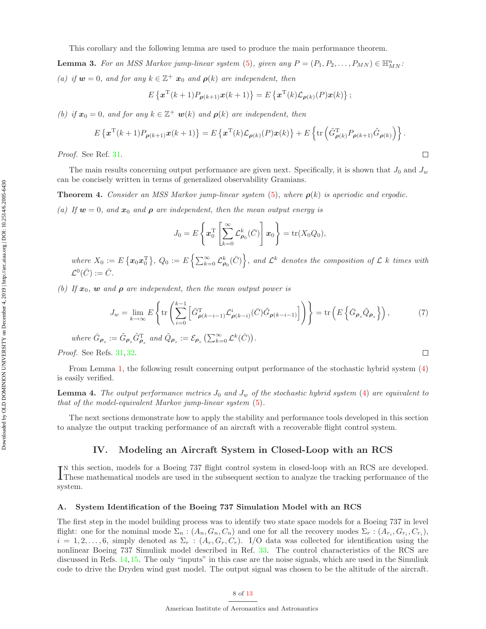**Lemma 3.** For an MSS Markov jump-linear system (5), given any  $P = (P_1, P_2, \ldots, P_{MN}) \in \mathbb{H}_{MN}^n$ : (a) if  $w = 0$ , and for any  $k \in \mathbb{Z}^+$   $x_0$  and  $\rho(k)$  are independent, then

$$
E\left\{ \boldsymbol{x}^{\mathrm{T}}(k+1)P_{\boldsymbol{\rho}(k+1)}\boldsymbol{x}(k+1)\right\} = E\left\{ \boldsymbol{x}^{\mathrm{T}}(k)\mathcal{L}_{\boldsymbol{\rho}(k)}(P)\boldsymbol{x}(k)\right\};
$$

(b) if  $x_0 = 0$ , and for any  $k \in \mathbb{Z}^+$  **w**(k) and  $\rho(k)$  are independent, then

$$
E\left\{\mathbf{x}^{\mathrm{T}}(k+1)P_{\boldsymbol{\rho}(k+1)}\mathbf{x}(k+1)\right\}=E\left\{\mathbf{x}^{\mathrm{T}}(k)\mathcal{L}_{\boldsymbol{\rho}(k)}(P)\mathbf{x}(k)\right\}+E\left\{\mathrm{tr}\left(\tilde{G}_{\boldsymbol{\rho}(k)}^{\mathrm{T}}P_{\boldsymbol{\rho}(k+1)}\tilde{G}_{\boldsymbol{\rho}(k)}\right)\right\}.
$$

 $\Box$ 

 $\Box$ 

Proof. See Ref. 31.

The main results concerning output performance are given next. Specifically, it is shown that  $J_0$  and  $J_w$ can be concisely written in terms of generalized observability Gramians.

**Theorem 4.** Consider an MSS Markov jump-linear system (5), where  $\rho(k)$  is aperiodic and ergodic.

(a) If  $w = 0$ , and  $x_0$  and  $\rho$  are independent, then the mean output energy is

$$
J_0 = E\left\{ \boldsymbol{x}_0^{\mathrm{T}} \left[ \sum_{k=0}^{\infty} \mathcal{L}_{\boldsymbol{\rho}_0}^k(\bar{C}) \right] \boldsymbol{x}_0 \right\} = \mathrm{tr}(X_0 Q_0),
$$

where  $X_0 := E\left\{ \pmb{x}_0 \pmb{x}_0^{\text{T}} \right\}, Q_0 := E\left\{ \sum_{k=0}^{\infty} \mathcal{L}_{\pmb{\rho}_0}^k(\bar{C}) \right\},$  and  $\mathcal{L}^k$  denotes the composition of  $\mathcal{L}$  k times with  $\mathcal{L}^0(\bar{C}):=\bar{C}.$ 

(b) If  $x_0$ , w and  $\rho$  are independent, then the mean output power is

$$
J_w = \lim_{k \to \infty} E\left\{ \text{tr}\left( \sum_{i=0}^{k-1} \left[ \tilde{G}^{\mathrm{T}}_{\rho(k-i-1)} \mathcal{L}^i_{\rho(k-i)} (\bar{C}) \tilde{G}_{\rho(k-i-1)} \right] \right) \right\} = \text{tr}\left( E\left\{ \bar{G}_{\rho_s} \tilde{Q}_{\rho_s} \right\} \right),\tag{7}
$$

where  $\bar{G}_{\rho_s} := \tilde{G}_{\rho_s} \tilde{G}_{\rho_s}^{\mathrm{T}}$  and  $\tilde{Q}_{\rho_s} := \mathcal{E}_{\rho_s} \left( \sum_{k=0}^{\infty} \mathcal{L}^k(\bar{C}) \right)$ .

Proof. See Refs. 31, 32.

From Lemma 1, the following result concerning output performance of the stochastic hybrid system (4) is easily verified.

**Lemma 4.** The output performance metrics  $J_0$  and  $J_w$  of the stochastic hybrid system (4) are equivalent to that of the model-equivalent Markov jump-linear system (5).

The next sections demonstrate how to apply the stability and performance tools developed in this section to analyze the output tracking performance of an aircraft with a recoverable flight control system.

#### IV. Modeling an Aircraft System in Closed-Loop with an RCS

IN this section, models for a Boeing 737 flight control system in closed-loop with an RCS are developed.<br>These mathematical models are used in the subsequent section to analyze the tracking performance of the **These mathematical models are used in the subsequent section to analyze the tracking performance of the** system.

#### A. System Identification of the Boeing 737 Simulation Model with an RCS

The first step in the model building process was to identify two state space models for a Boeing 737 in level flight: one for the nominal mode  $\Sigma_n$ :  $(A_n, G_n, C_n)$  and one for all the recovery modes  $\Sigma_r$ :  $(A_{r_i}, G_{r_i}, C_{r_i})$ ,  $i = 1, 2, \ldots, 6$ , simply denoted as  $\Sigma_r : (A_r, G_r, C_r)$ . I/O data was collected for identification using the nonlinear Boeing 737 Simulink model described in Ref. 33. The control characteristics of the RCS are discussed in Refs. 14,15. The only "inputs" in this case are the noise signals, which are used in the Simulink code to drive the Dryden wind gust model. The output signal was chosen to be the altitude of the aircraft.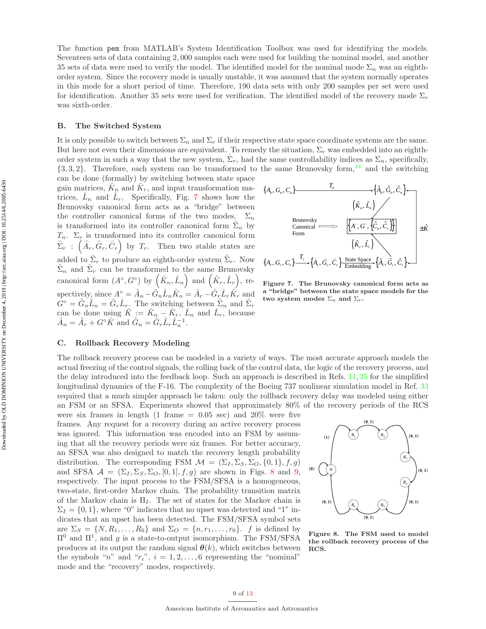The function pem from MATLAB's System Identification Toolbox was used for identifying the models. Seventeen sets of data containing 2, 000 samples each were used for building the nominal model, and another 35 sets of data were used to verify the model. The identified model for the nominal mode  $\Sigma_n$  was an eighthorder system. Since the recovery mode is usually unstable, it was assumed that the system normally operates in this mode for a short period of time. Therefore, 190 data sets with only 200 samples per set were used for identification. Another 35 sets were used for verification. The identified model of the recovery mode  $\Sigma_r$ was sixth-order.

#### B. The Switched System

It is only possible to switch between  $\Sigma_n$  and  $\Sigma_r$  if their respective state space coordinate systems are the same. But here not even their dimensions are equivalent. To remedy the situation,  $\Sigma_r$  was embedded into an eighthorder system in such a way that the new system,  $\hat{\Sigma}_r$ , had the same controllability indices as  $\Sigma_n$ , specifically,  $\{3,3,2\}$ . Therefore, each system can be transformed to the same Brunovsky form, <sup>34</sup> and the switching

can be done (formally) by switching between state space gain matrices,  $\hat{K}_n$  and  $\hat{K}_r$ , and input transformation matrices,  $\hat{L}_n$  and  $\hat{L}_r$ . Specifically, Fig. 7 shows how the Brunovsky canonical form acts as a "bridge" between the controller canonical forms of the two modes.  $\Sigma_n$ is transformed into its controller canonical form  $\hat{\Sigma}_n$  by  $T_n$ .  $\Sigma_r$  is transformed into its controller canonical form  $\widehat{\Sigma}_r$ :  $(\widehat{A}_r, \widehat{G}_r, \widehat{C}_r)$  by  $T_r$ . Then two stable states are added to  $\bar{\Sigma}_r$  to produce an eighth-order system  $\hat{\Sigma}_r$ . Now  $\hat{\Sigma}_n$  and  $\hat{\Sigma}_r$  can be transformed to the same Brunovsky canonical form  $(A^{\circ}, G^{\circ})$  by  $(\hat{K}_n, \hat{L}_n)$  and  $(\hat{K}_r, \hat{L}_r)$ , respectively, since  $A^{\circ} = \hat{A}_n - \hat{G}_n \hat{L}_n \hat{K}_n = \hat{A}_r - \hat{G}_r \hat{L}_r \hat{K}_r$  and  $G^{\circ} = \hat{G}_n \hat{L}_n = \hat{G}_r \hat{L}_r$ . The switching between  $\hat{\Sigma}_n$  and  $\hat{\Sigma}_r$ can be done using  $\hat{K} := \hat{K}_n - \hat{K}_r$ ,  $\hat{L}_n$  and  $\hat{L}_r$ , because  $\hat{A}_n = \hat{A}_r + G^{\circ}\hat{K}$  and  $\hat{G}_n = \hat{G}_r\hat{L}_r\hat{L}_n^{-1}$ .



Figure 7. The Brunovsky canonical form acts as a "bridge" between the state space models for the two system modes  $\Sigma_n$  and  $\Sigma_r$ .

#### C. Rollback Recovery Modeling

The rollback recovery process can be modeled in a variety of ways. The most accurate approach models the actual freezing of the control signals, the rolling back of the control data, the logic of the recovery process, and the delay introduced into the feedback loop. Such an approach is described in Refs. 11,35 for the simplified longitudinal dynamics of the F-16. The complexity of the Boeing 737 nonlinear simulation model in Ref. 33 required that a much simpler approach be taken: only the rollback recovery delay was modeled using either an FSM or an SFSA. Experiments showed that approximately 80% of the recovery periods of the RCS

were six frames in length (1 frame  $= 0.05$  sec) and 20% were five frames. Any request for a recovery during an active recovery process was ignored. This information was encoded into an FSM by assuming that all the recovery periods were six frames. For better accuracy, an SFSA was also designed to match the recovery length probability distribution. The corresponding FSM  $\mathcal{M} = (\Sigma_I, \Sigma_S, \Sigma_O, \{0, 1\}, f, g)$ and SFSA  $\mathcal{A} = (\Sigma_I, \Sigma_S, \Sigma_O, [0, 1], f, g)$  are shown in Figs. 8 and 9, respectively. The input process to the FSM/SFSA is a homogeneous, two-state, first-order Markov chain. The probability transition matrix of the Markov chain is  $\Pi_I$ . The set of states for the Markov chain is  $\Sigma_I = \{0, 1\}$ , where "0" indicates that no upset was detected and "1" indicates that an upset has been detected. The FSM/SFSA symbol sets are  $\Sigma_S = \{N, R_1, \ldots, R_6\}$  and  $\Sigma_O = \{n, r_1, \ldots, r_6\}$ . f is defined by  $\Pi^0$  and  $\Pi^1$ , and g is a state-to-output isomorphism. The FSM/SFSA produces at its output the random signal  $\theta(k)$ , which switches between the symbols "n" and " $r_i$ ",  $i = 1, 2, ..., 6$  representing the "nominal" mode and the "recovery" modes, respectively.



Figure 8. The FSM used to model the rollback recovery process of the RCS.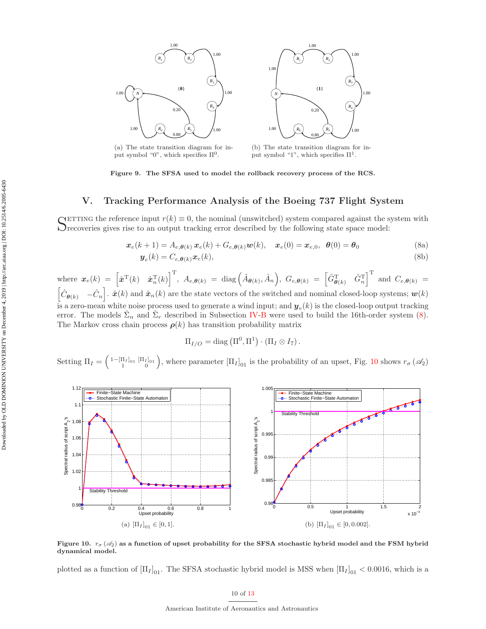



(a) The state transition diagram for input symbol "0", which specifies  $\Pi^0$ .

(b) The state transition diagram for input symbol "1", which specifies  $\Pi^1$ .

Figure 9. The SFSA used to model the rollback recovery process of the RCS.

#### V. Tracking Performance Analysis of the Boeing 737 Flight System

SETTING the reference input  $r(k) \equiv 0$ , the nominal (unswitched) system compared against the system with  $S$  recoveries gives rise to an output tracking error described by the following state space model:  $\mathcal{O}_{\text{recovering}}$  rise to an output tracking error described by the following state space model:

$$
\boldsymbol{x}_e(k+1) = A_{e,\boldsymbol{\theta}(k)} \, \boldsymbol{x}_e(k) + G_{e,\boldsymbol{\theta}(k)} \boldsymbol{w}(k), \quad \boldsymbol{x}_e(0) = \boldsymbol{x}_{e,0}, \ \boldsymbol{\theta}(0) = \boldsymbol{\theta}_0 \tag{8a}
$$

$$
\boldsymbol{y}_e(k) = C_{e,\boldsymbol{\theta}(k)} \boldsymbol{x}_e(k),\tag{8b}
$$

where 
$$
\mathbf{x}_e(k) = \begin{bmatrix} \hat{\mathbf{x}}^T(k) & \hat{\mathbf{x}}_n^T(k) \end{bmatrix}^T
$$
,  $A_{e,\theta(k)} = \text{diag}(\hat{A}_{\theta(k)}, \hat{A}_n)$ ,  $G_{e,\theta(k)} = \begin{bmatrix} \hat{G}_{\theta(k)}^T & \hat{G}_n^T \end{bmatrix}^T$  and  $C_{e,\theta(k)} = \begin{bmatrix} \hat{C}_{\theta(k)} & -\hat{C}_n \end{bmatrix}$ .  $\hat{\mathbf{x}}(k)$  and  $\hat{\mathbf{x}}_n(k)$  are the state vectors of the switched and nominal closed-loop systems;  $\mathbf{w}(k)$ 

is a zero-mean white noise process used to generate a wind input; and  $y_e(k)$  is the closed-loop output tracking error. The models  $\hat{\Sigma}_n$  and  $\hat{\Sigma}_r$  described in Subsection IV-B were used to build the 16th-order system (8). The Markov cross chain process  $\rho(k)$  has transition probability matrix

$$
\Pi_{I/O} = \text{diag}\left(\Pi^0, \Pi^1\right) \cdot \left(\Pi_I \otimes I_7\right).
$$

Setting  $\Pi_I = \begin{pmatrix} 1 - [\Pi_I]_{01} & [\Pi_I]_{01} \\ 1 & 0 \end{pmatrix}$ , where parameter  $[\Pi_I]_{01}$  is the probability of an upset, Fig. 10 shows  $r_{\sigma}(\mathscr{A}_2)$ 



Figure 10.  $r_{\sigma}(\mathscr{A}_2)$  as a function of upset probability for the SFSA stochastic hybrid model and the FSM hybrid dynamical model.

plotted as a function of  $[\Pi_I]_{01}$ . The SFSA stochastic hybrid model is MSS when  $[\Pi_I]_{01} < 0.0016$ , which is a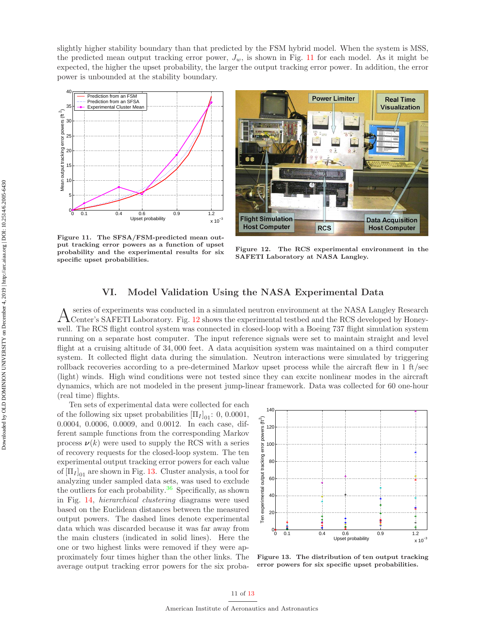slightly higher stability boundary than that predicted by the FSM hybrid model. When the system is MSS, the predicted mean output tracking error power,  $J_w$ , is shown in Fig. 11 for each model. As it might be expected, the higher the upset probability, the larger the output tracking error power. In addition, the error power is unbounded at the stability boundary.



Figure 11. The SFSA/FSM-predicted mean output tracking error powers as a function of upset probability and the experimental results for six specific upset probabilities.



Figure 12. The RCS experimental environment in the SAFETI Laboratory at NASA Langley.

### VI. Model Validation Using the NASA Experimental Data

 $\rm A$  series of experiments was conducted in a simulated neutron environment at the NASA Langley Research Center's SAFETI Laboratory. Fig. 12 shows the experimental testbed and the RCS developed by Honeyseries of experiments was conducted in a simulated neutron environment at the NASA Langley Research well. The RCS flight control system was connected in closed-loop with a Boeing 737 flight simulation system running on a separate host computer. The input reference signals were set to maintain straight and level flight at a cruising altitude of 34, 000 feet. A data acquisition system was maintained on a third computer system. It collected flight data during the simulation. Neutron interactions were simulated by triggering rollback recoveries according to a pre-determined Markov upset process while the aircraft flew in 1 ft/sec (light) winds. High wind conditions were not tested since they can excite nonlinear modes in the aircraft dynamics, which are not modeled in the present jump-linear framework. Data was collected for 60 one-hour (real time) flights.

Ten sets of experimental data were collected for each of the following six upset probabilities  $[\Pi_I]_{01}$ : 0, 0.0001, 0.0004, 0.0006, 0.0009, and 0.0012. In each case, different sample functions from the corresponding Markov process  $\nu(k)$  were used to supply the RCS with a series of recovery requests for the closed-loop system. The ten experimental output tracking error powers for each value of  $[\Pi_I]_{01}$  are shown in Fig. 13. Cluster analysis, a tool for analyzing under sampled data sets, was used to exclude the outliers for each probability. $36$  Specifically, as shown in Fig. 14, hierarchical clustering diagrams were used based on the Euclidean distances between the measured output powers. The dashed lines denote experimental data which was discarded because it was far away from the main clusters (indicated in solid lines). Here the one or two highest links were removed if they were approximately four times higher than the other links. The average output tracking error powers for the six proba-



Figure 13. The distribution of ten output tracking error powers for six specific upset probabilities.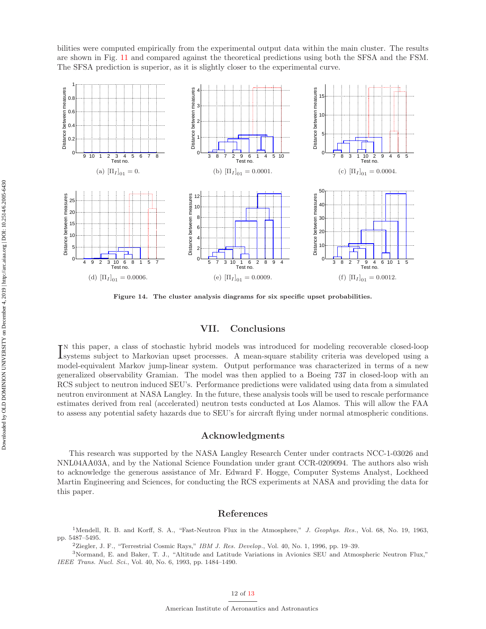bilities were computed empirically from the experimental output data within the main cluster. The results are shown in Fig. 11 and compared against the theoretical predictions using both the SFSA and the FSM. The SFSA prediction is superior, as it is slightly closer to the experimental curve.



Figure 14. The cluster analysis diagrams for six specific upset probabilities.

#### VII. Conclusions

IN this paper, a class of stochastic hybrid models was introduced for modeling recoverable closed-loop<br>Isystems subject to Markovian upset processes. A mean-square stability criteria was developed using a n this paper, a class of stochastic hybrid models was introduced for modeling recoverable closed-loop model-equivalent Markov jump-linear system. Output performance was characterized in terms of a new generalized observability Gramian. The model was then applied to a Boeing 737 in closed-loop with an RCS subject to neutron induced SEU's. Performance predictions were validated using data from a simulated neutron environment at NASA Langley. In the future, these analysis tools will be used to rescale performance estimates derived from real (accelerated) neutron tests conducted at Los Alamos. This will allow the FAA to assess any potential safety hazards due to SEU's for aircraft flying under normal atmospheric conditions.

#### Acknowledgments

This research was supported by the NASA Langley Research Center under contracts NCC-1-03026 and NNL04AA03A, and by the National Science Foundation under grant CCR-0209094. The authors also wish to acknowledge the generous assistance of Mr. Edward F. Hogge, Computer Systems Analyst, Lockheed Martin Engineering and Sciences, for conducting the RCS experiments at NASA and providing the data for this paper.

#### References

<sup>1</sup>Mendell, R. B. and Korff, S. A., "Fast-Neutron Flux in the Atmosphere," J. Geophys. Res., Vol. 68, No. 19, 1963, pp. 5487–5495.

<sup>2</sup>Ziegler, J. F., "Terrestrial Cosmic Rays," IBM J. Res. Develop., Vol. 40, No. 1, 1996, pp. 19–39.

<sup>3</sup>Normand, E. and Baker, T. J., "Altitude and Latitude Variations in Avionics SEU and Atmospheric Neutron Flux," IEEE Trans. Nucl. Sci., Vol. 40, No. 6, 1993, pp. 1484–1490.